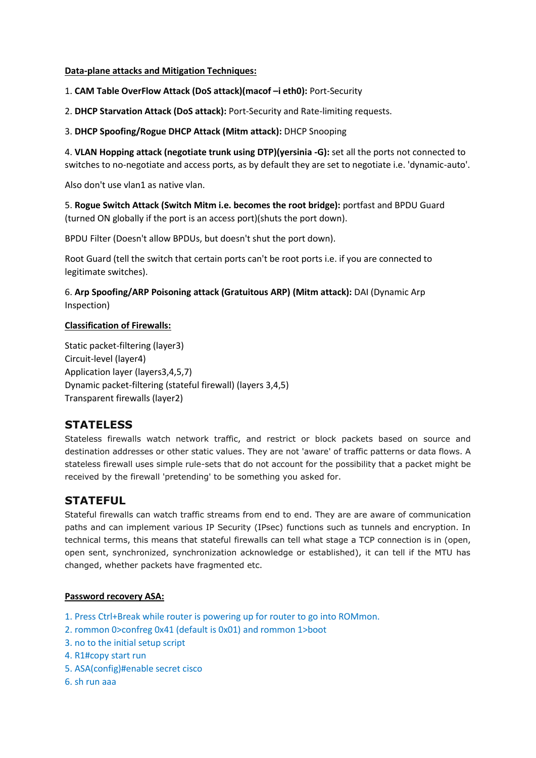## **Data-plane attacks and Mitigation Techniques:**

1. **CAM Table OverFlow Attack (DoS attack)(macof –i eth0):** Port-Security

2. **DHCP Starvation Attack (DoS attack):** Port-Security and Rate-limiting requests.

3. **DHCP Spoofing/Rogue DHCP Attack (Mitm attack):** DHCP Snooping

4. **VLAN Hopping attack (negotiate trunk using DTP)(yersinia -G):** set all the ports not connected to switches to no-negotiate and access ports, as by default they are set to negotiate i.e. 'dynamic-auto'.

Also don't use vlan1 as native vlan.

5. **Rogue Switch Attack (Switch Mitm i.e. becomes the root bridge):** portfast and BPDU Guard (turned ON globally if the port is an access port)(shuts the port down).

BPDU Filter (Doesn't allow BPDUs, but doesn't shut the port down).

Root Guard (tell the switch that certain ports can't be root ports i.e. if you are connected to legitimate switches).

6. **Arp Spoofing/ARP Poisoning attack (Gratuitous ARP) (Mitm attack):** DAI (Dynamic Arp Inspection)

# **Classification of Firewalls:**

Static packet-filtering (layer3) Circuit-level (layer4) Application layer (layers3,4,5,7) Dynamic packet-filtering (stateful firewall) (layers 3,4,5) Transparent firewalls (layer2)

# **STATELESS**

Stateless firewalls watch network traffic, and restrict or block packets based on source and destination addresses or other static values. They are not 'aware' of traffic patterns or data flows. A stateless firewall uses simple rule-sets that do not account for the possibility that a packet might be received by the firewall 'pretending' to be something you asked for.

# **STATEFUL**

Stateful firewalls can watch traffic streams from end to end. They are are aware of communication paths and can implement various IP Security (IPsec) functions such as tunnels and encryption. In technical terms, this means that stateful firewalls can tell what stage a TCP connection is in (open, open sent, synchronized, synchronization acknowledge or established), it can tell if the MTU has changed, whether packets have fragmented etc.

## **Password recovery ASA:**

- 1. Press Ctrl+Break while router is powering up for router to go into ROMmon.
- 2. rommon 0>confreg 0x41 (default is 0x01) and rommon 1>boot
- 3. no to the initial setup script
- 4. R1#copy start run
- 5. ASA(config)#enable secret cisco
- 6. sh run aaa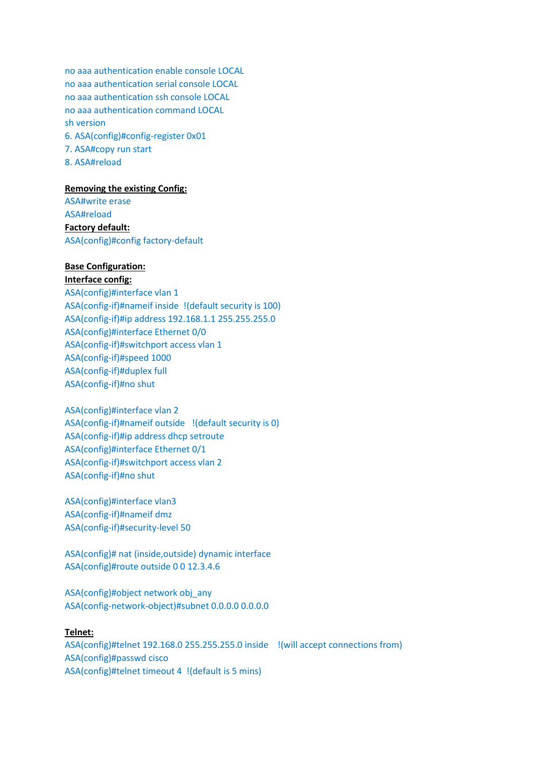no aaa authentication enable console LOCAL no aaa authentication serial console LOCAL no aaa authentication ssh console LOCAL no aaa authentication command LOCAL sh version 6. ASA(config)#config-register 0x01 7. ASA#copy run start 8. ASA#reload

### **Removing the existing Config:**

ASA#write erase ASA#reload **Factory default:**  ASA(config)#config factory-default

# **Base Configuration:**

**Interface config:** ASA(config)#interface vlan 1 ASA(config-if)#nameif inside !(default security is 100) ASA(config-if)#ip address 192.168.1.1 255.255.255.0 ASA(config)#interface Ethernet 0/0 ASA(config-if)#switchport access vlan 1 ASA(config-if)#speed 1000 ASA(config-if)#duplex full ASA(config-if)#no shut

ASA(config)#interface vlan 2 ASA(config-if)#nameif outside !(default security is 0) ASA(config-if)#ip address dhcp setroute ASA(config)#interface Ethernet 0/1 ASA(config-if)#switchport access vlan 2 ASA(config-if)#no shut

ASA(config)#interface vlan3 ASA(config-if)#nameif dmz ASA(config-if)#security-level 50

ASA(config)# nat (inside,outside) dynamic interface ASA(config)#route outside 0 0 12.3.4.6

ASA(config)#object network obj\_any ASA(config-network-object)#subnet 0.0.0.0 0.0.0.0

#### **Telnet:**

ASA(config)#telnet 192.168.0 255.255.255.0 inside !(will accept connections from) ASA(config)#passwd cisco ASA(config)#telnet timeout 4 !(default is 5 mins)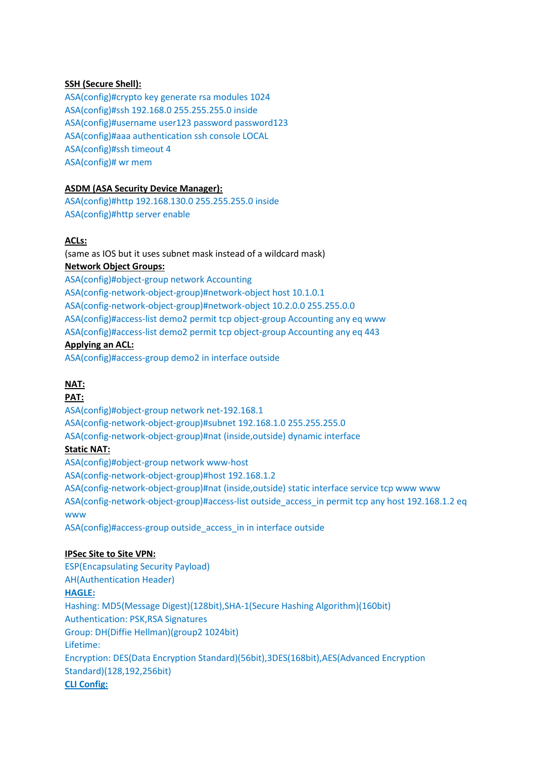# **SSH (Secure Shell):**

ASA(config)#crypto key generate rsa modules 1024 ASA(config)#ssh 192.168.0 255.255.255.0 inside ASA(config)#username user123 password password123 ASA(config)#aaa authentication ssh console LOCAL ASA(config)#ssh timeout 4 ASA(config)# wr mem

# **ASDM (ASA Security Device Manager):**

ASA(config)#http 192.168.130.0 255.255.255.0 inside ASA(config)#http server enable

# **ACLs:**

(same as IOS but it uses subnet mask instead of a wildcard mask) **Network Object Groups:** 

ASA(config)#object-group network Accounting ASA(config-network-object-group)#network-object host 10.1.0.1 ASA(config-network-object-group)#network-object 10.2.0.0 255.255.0.0 ASA(config)#access-list demo2 permit tcp object-group Accounting any eq www ASA(config)#access-list demo2 permit tcp object-group Accounting any eq 443

# **Applying an ACL:**

ASA(config)#access-group demo2 in interface outside

# **NAT:**

#### **PAT:**

ASA(config)#object-group network net-192.168.1 ASA(config-network-object-group)#subnet 192.168.1.0 255.255.255.0 ASA(config-network-object-group)#nat (inside,outside) dynamic interface **Static NAT:**  ASA(config)#object-group network www-host ASA(config-network-object-group)#host 192.168.1.2 ASA(config-network-object-group)#nat (inside,outside) static interface service tcp www www ASA(config-network-object-group)#access-list outside\_access\_in permit tcp any host 192.168.1.2 eq www

ASA(config)#access-group outside\_access\_in in interface outside

## **IPSec Site to Site VPN:**

ESP(Encapsulating Security Payload) AH(Authentication Header) **HAGLE:** Hashing: MD5(Message Digest)(128bit),SHA-1(Secure Hashing Algorithm)(160bit) Authentication: PSK,RSA Signatures Group: DH(Diffie Hellman)(group2 1024bit) Lifetime: Encryption: DES(Data Encryption Standard)(56bit),3DES(168bit),AES(Advanced Encryption Standard)(128,192,256bit) **CLI Config:**